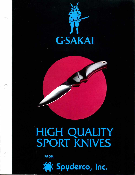

## HIGH QUALITY<br>SPORT KNIVES

**FROM** 

 $\bigcap$